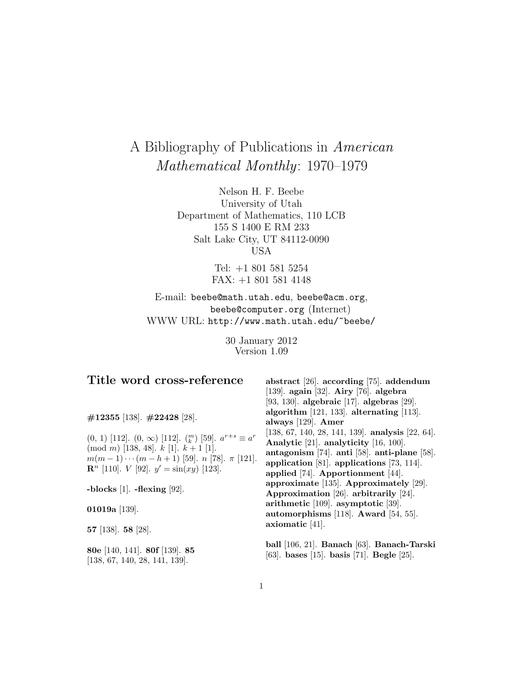# A Bibliography of Publications in American Mathematical Monthly: 1970–1979

Nelson H. F. Beebe University of Utah Department of Mathematics, 110 LCB 155 S 1400 E RM 233 Salt Lake City, UT 84112-0090 USA

> Tel: +1 801 581 5254 FAX: +1 801 581 4148

E-mail: beebe@math.utah.edu, beebe@acm.org, beebe@computer.org (Internet) WWW URL: http://www.math.utah.edu/~beebe/

> 30 January 2012 Version 1.09

# **Title word cross-reference**

**#12355** [138]. **#22428** [28].

(0, 1) [112].  $(0, \infty)$  [112].  $\binom{m}{k}$  [59].  $a^{r+s} \equiv a^r$  $\pmod{m}$  [138, 48].  $k$  [1].  $k+1$  [1].  $m(m-1)\cdots(m-h+1)$  [59].  $n$  [78].  $\pi$  [121]. **R**<sup>n</sup> [110]. *V* [92].  $y' = \sin(xy)$  [123].

**-blocks** [1]. **-flexing** [92].

**01019a** [139].

**57** [138]. **58** [28].

**80e** [140, 141]. **80f** [139]. **85** [138, 67, 140, 28, 141, 139].

**abstract** [26]. **according** [75]. **addendum** [139]. **again** [32]. **Airy** [76]. **algebra** [93, 130]. **algebraic** [17]. **algebras** [29]. **algorithm** [121, 133]. **alternating** [113]. **always** [129]. **Amer** [138, 67, 140, 28, 141, 139]. **analysis** [22, 64]. **Analytic** [21]. **analyticity** [16, 100]. **antagonism** [74]. **anti** [58]. **anti-plane** [58]. **application** [81]. **applications** [73, 114]. **applied** [74]. **Apportionment** [44]. **approximate** [135]. **Approximately** [29]. **Approximation** [26]. **arbitrarily** [24]. **arithmetic** [109]. **asymptotic** [39]. **automorphisms** [118]. **Award** [54, 55]. **axiomatic** [41].

**ball** [106, 21]. **Banach** [63]. **Banach-Tarski** [63]. **bases** [15]. **basis** [71]. **Begle** [25].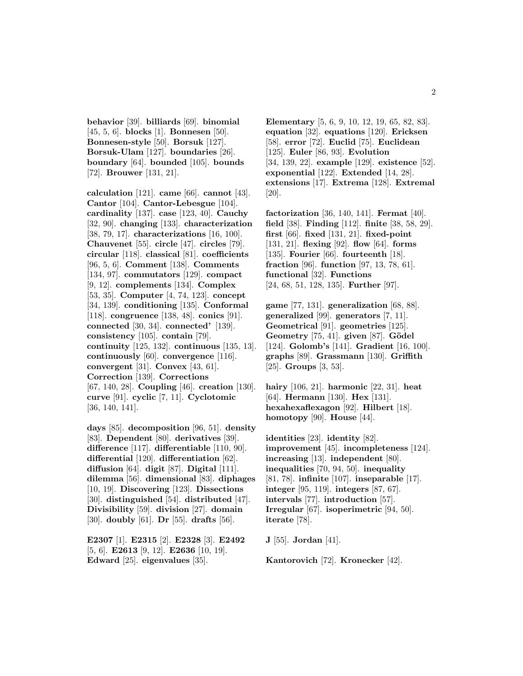**behavior** [39]. **billiards** [69]. **binomial** [45, 5, 6]. **blocks** [1]. **Bonnesen** [50]. **Bonnesen-style** [50]. **Borsuk** [127]. **Borsuk-Ulam** [127]. **boundaries** [26]. **boundary** [64]. **bounded** [105]. **bounds** [72]. **Brouwer** [131, 21].

**calculation** [121]. **came** [66]. **cannot** [43]. **Cantor** [104]. **Cantor-Lebesgue** [104]. **cardinality** [137]. **case** [123, 40]. **Cauchy** [32, 90]. **changing** [133]. **characterization** [38, 79, 17]. **characterizations** [16, 100]. **Chauvenet** [55]. **circle** [47]. **circles** [79]. **circular** [118]. **classical** [81]. **coefficients** [96, 5, 6]. **Comment** [138]. **Comments** [134, 97]. **commutators** [129]. **compact** [9, 12]. **complements** [134]. **Complex** [53, 35]. **Computer** [4, 74, 123]. **concept** [34, 139]. **conditioning** [135]. **Conformal** [118]. **congruence** [138, 48]. **conics** [91]. **connected** [30, 34]. **connected'** [139]. **consistency** [105]. **contain** [79]. **continuity** [125, 132]. **continuous** [135, 13]. **continuously** [60]. **convergence** [116]. **convergent** [31]. **Convex** [43, 61]. **Correction** [139]. **Corrections** [67, 140, 28]. **Coupling** [46]. **creation** [130]. **curve** [91]. **cyclic** [7, 11]. **Cyclotomic** [36, 140, 141].

**days** [85]. **decomposition** [96, 51]. **density** [83]. **Dependent** [80]. **derivatives** [39]. **difference** [117]. **differentiable** [110, 90]. **differential** [120]. **differentiation** [62]. **diffusion** [64]. **digit** [87]. **Digital** [111]. **dilemma** [56]. **dimensional** [83]. **diphages** [10, 19]. **Discovering** [123]. **Dissections** [30]. **distinguished** [54]. **distributed** [47]. **Divisibility** [59]. **division** [27]. **domain** [30]. **doubly** [61]. **Dr** [55]. **drafts** [56].

**E2307** [1]. **E2315** [2]. **E2328** [3]. **E2492** [5, 6]. **E2613** [9, 12]. **E2636** [10, 19]. **Edward** [25]. **eigenvalues** [35].

**Elementary** [5, 6, 9, 10, 12, 19, 65, 82, 83]. **equation** [32]. **equations** [120]. **Ericksen** [58]. **error** [72]. **Euclid** [75]. **Euclidean** [125]. **Euler** [86, 93]. **Evolution** [34, 139, 22]. **example** [129]. **existence** [52]. **exponential** [122]. **Extended** [14, 28]. **extensions** [17]. **Extrema** [128]. **Extremal** [20].

**factorization** [36, 140, 141]. **Fermat** [40]. **field** [38]. **Finding** [112]. **finite** [38, 58, 29]. **first** [66]. **fixed** [131, 21]. **fixed-point** [131, 21]. **flexing** [92]. **flow** [64]. **forms** [135]. **Fourier** [66]. **fourteenth** [18]. **fraction** [96]. **function** [97, 13, 78, 61]. **functional** [32]. **Functions** [24, 68, 51, 128, 135]. **Further** [97].

**game** [77, 131]. **generalization** [68, 88]. **generalized** [99]. **generators** [7, 11]. **Geometrical** [91]. **geometries** [125]. **Geometry** [75, 41]. **given** [87]. **Gödel** [124]. **Golomb's** [141]. **Gradient** [16, 100]. **graphs** [89]. **Grassmann** [130]. **Griffith** [25]. **Groups** [3, 53].

**hairy** [106, 21]. **harmonic** [22, 31]. **heat** [64]. **Hermann** [130]. **Hex** [131]. **hexahexaflexagon** [92]. **Hilbert** [18]. **homotopy** [90]. **House** [44].

**identities** [23]. **identity** [82]. **improvement** [45]. **incompleteness** [124]. **increasing** [13]. **independent** [80]. **inequalities** [70, 94, 50]. **inequality** [81, 78]. **infinite** [107]. **inseparable** [17]. **integer** [95, 119]. **integers** [87, 67]. **intervals** [77]. **introduction** [57]. **Irregular** [67]. **isoperimetric** [94, 50]. **iterate** [78].

**J** [55]. **Jordan** [41].

**Kantorovich** [72]. **Kronecker** [42].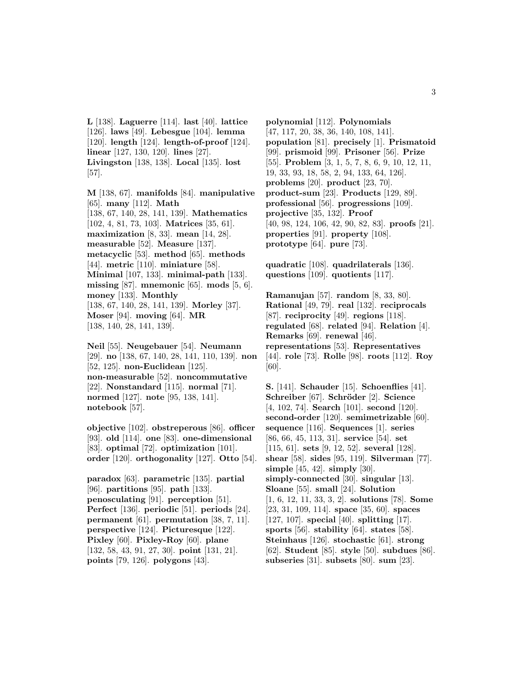**L** [138]. **Laguerre** [114]. **last** [40]. **lattice** [126]. **laws** [49]. **Lebesgue** [104]. **lemma** [120]. **length** [124]. **length-of-proof** [124]. **linear** [127, 130, 120]. **lines** [27]. **Livingston** [138, 138]. **Local** [135]. **lost** [57].

**M** [138, 67]. **manifolds** [84]. **manipulative** [65]. **many** [112]. **Math** [138, 67, 140, 28, 141, 139]. **Mathematics** [102, 4, 81, 73, 103]. **Matrices** [35, 61]. **maximization** [8, 33]. **mean** [14, 28]. **measurable** [52]. **Measure** [137]. **metacyclic** [53]. **method** [65]. **methods** [44]. **metric** [110]. **miniature** [58]. **Minimal** [107, 133]. **minimal-path** [133]. **missing** [87]. **mnemonic** [65]. **mods** [5, 6]. **money** [133]. **Monthly** [138, 67, 140, 28, 141, 139]. **Morley** [37]. **Moser** [94]. **moving** [64]. **MR** [138, 140, 28, 141, 139].

**Neil** [55]. **Neugebauer** [54]. **Neumann** [29]. **no** [138, 67, 140, 28, 141, 110, 139]. **non** [52, 125]. **non-Euclidean** [125]. **non-measurable** [52]. **noncommutative** [22]. **Nonstandard** [115]. **normal** [71]. **normed** [127]. **note** [95, 138, 141]. **notebook** [57].

**objective** [102]. **obstreperous** [86]. **officer** [93]. **old** [114]. **one** [83]. **one-dimensional** [83]. **optimal** [72]. **optimization** [101]. **order** [120]. **orthogonality** [127]. **Otto** [54].

**paradox** [63]. **parametric** [135]. **partial** [96]. **partitions** [95]. **path** [133]. **penosculating** [91]. **perception** [51]. **Perfect** [136]. **periodic** [51]. **periods** [24]. **permanent** [61]. **permutation** [38, 7, 11]. **perspective** [124]. **Picturesque** [122]. **Pixley** [60]. **Pixley-Roy** [60]. **plane** [132, 58, 43, 91, 27, 30]. **point** [131, 21]. **points** [79, 126]. **polygons** [43].

**polynomial** [112]. **Polynomials** [47, 117, 20, 38, 36, 140, 108, 141]. **population** [81]. **precisely** [1]. **Prismatoid** [99]. **prismoid** [99]. **Prisoner** [56]. **Prize** [55]. **Problem** [3, 1, 5, 7, 8, 6, 9, 10, 12, 11, 19, 33, 93, 18, 58, 2, 94, 133, 64, 126]. **problems** [20]. **product** [23, 70]. **product-sum** [23]. **Products** [129, 89]. **professional** [56]. **progressions** [109]. **projective** [35, 132]. **Proof** [40, 98, 124, 106, 42, 90, 82, 83]. **proofs** [21]. **properties** [91]. **property** [108]. **prototype** [64]. **pure** [73].

**quadratic** [108]. **quadrilaterals** [136]. **questions** [109]. **quotients** [117].

**Ramanujan** [57]. **random** [8, 33, 80]. **Rational** [49, 79]. **real** [132]. **reciprocals** [87]. **reciprocity** [49]. **regions** [118]. **regulated** [68]. **related** [94]. **Relation** [4]. **Remarks** [69]. **renewal** [46]. **representations** [53]. **Representatives** [44]. **role** [73]. **Rolle** [98]. **roots** [112]. **Roy** [60].

**S.** [141]. **Schauder** [15]. **Schoenflies** [41]. **Schreiber** [67]. **Schr¨oder** [2]. **Science** [4, 102, 74]. **Search** [101]. **second** [120]. **second-order** [120]. **semimetrizable** [60]. **sequence** [116]. **Sequences** [1]. **series** [86, 66, 45, 113, 31]. **service** [54]. **set** [115, 61]. **sets** [9, 12, 52]. **several** [128]. **shear** [58]. **sides** [95, 119]. **Silverman** [77]. **simple** [45, 42]. **simply** [30]. **simply-connected** [30]. **singular** [13]. **Sloane** [55]. **small** [24]. **Solution** [1, 6, 12, 11, 33, 3, 2]. **solutions** [78]. **Some** [23, 31, 109, 114]. **space** [35, 60]. **spaces** [127, 107]. **special** [40]. **splitting** [17]. **sports** [56]. **stability** [64]. **states** [58]. **Steinhaus** [126]. **stochastic** [61]. **strong** [62]. **Student** [85]. **style** [50]. **subdues** [86]. **subseries** [31]. **subsets** [80]. **sum** [23].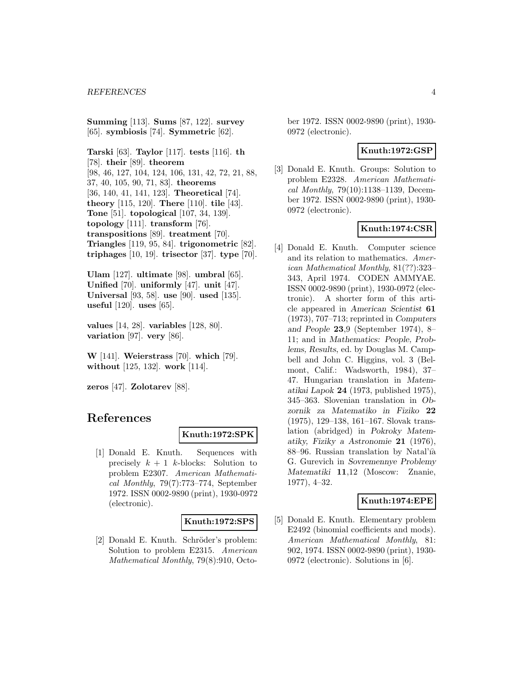**Summing** [113]. **Sums** [87, 122]. **survey** [65]. **symbiosis** [74]. **Symmetric** [62].

**Tarski** [63]. **Taylor** [117]. **tests** [116]. **th** [78]. **their** [89]. **theorem** [98, 46, 127, 104, 124, 106, 131, 42, 72, 21, 88, 37, 40, 105, 90, 71, 83]. **theorems** [36, 140, 41, 141, 123]. **Theoretical** [74]. **theory** [115, 120]. **There** [110]. **tile** [43]. **Tone** [51]. **topological** [107, 34, 139]. **topology** [111]. **transform** [76]. **transpositions** [89]. **treatment** [70]. **Triangles** [119, 95, 84]. **trigonometric** [82]. **triphages** [10, 19]. **trisector** [37]. **type** [70].

**Ulam** [127]. **ultimate** [98]. **umbral** [65]. **Unified** [70]. **uniformly** [47]. **unit** [47]. **Universal** [93, 58]. **use** [90]. **used** [135]. **useful** [120]. **uses** [65].

**values** [14, 28]. **variables** [128, 80]. **variation** [97]. **very** [86].

**W** [141]. **Weierstrass** [70]. **which** [79]. **without** [125, 132]. **work** [114].

**zeros** [47]. **Zolotarev** [88].

# **References**

#### **Knuth:1972:SPK**

[1] Donald E. Knuth. Sequences with precisely  $k + 1$  k-blocks: Solution to problem E2307. American Mathematical Monthly, 79(7):773–774, September 1972. ISSN 0002-9890 (print), 1930-0972 (electronic).

#### **Knuth:1972:SPS**

[2] Donald E. Knuth. Schröder's problem: Solution to problem E2315. American Mathematical Monthly, 79(8):910, October 1972. ISSN 0002-9890 (print), 1930- 0972 (electronic).

# **Knuth:1972:GSP**

[3] Donald E. Knuth. Groups: Solution to problem E2328. American Mathematical Monthly, 79(10):1138–1139, December 1972. ISSN 0002-9890 (print), 1930- 0972 (electronic).

# **Knuth:1974:CSR**

[4] Donald E. Knuth. Computer science and its relation to mathematics. American Mathematical Monthly, 81(??):323– 343, April 1974. CODEN AMMYAE. ISSN 0002-9890 (print), 1930-0972 (electronic). A shorter form of this article appeared in *American Scientist* **61** (1973), 707–713; reprinted in *Computers and People* **23**,9 (September 1974), 8– 11; and in *Mathematics: People, Problems, Results*, ed. by Douglas M. Campbell and John C. Higgins, vol. 3 (Belmont, Calif.: Wadsworth, 1984), 37– 47. Hungarian translation in *Matematikai Lapok* **24** (1973, published 1975), 345–363. Slovenian translation in *Obzornik za Matematiko in Fiziko* **22** (1975), 129–138, 161–167. Slovak translation (abridged) in *Pokroky Matematiky, Fiziky a Astronomie* **21** (1976), 88–96. Russian translation by Natal'ia G. Gurevich in *Sovremennye Problemy Matematiki* **11**,12 (Moscow: Znanie, 1977), 4–32.

# **Knuth:1974:EPE**

[5] Donald E. Knuth. Elementary problem E2492 (binomial coefficients and mods). American Mathematical Monthly, 81: 902, 1974. ISSN 0002-9890 (print), 1930- 0972 (electronic). Solutions in [6].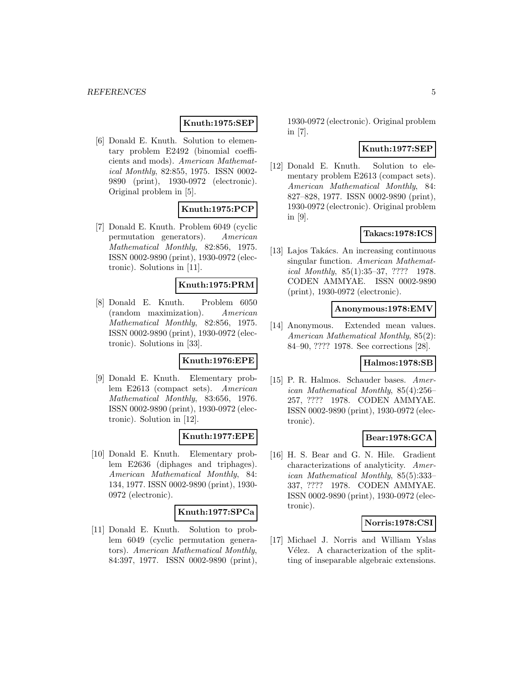# **Knuth:1975:SEP**

[6] Donald E. Knuth. Solution to elementary problem E2492 (binomial coefficients and mods). American Mathematical Monthly, 82:855, 1975. ISSN 0002- 9890 (print), 1930-0972 (electronic). Original problem in [5].

# **Knuth:1975:PCP**

[7] Donald E. Knuth. Problem 6049 (cyclic permutation generators). American Mathematical Monthly, 82:856, 1975. ISSN 0002-9890 (print), 1930-0972 (electronic). Solutions in [11].

# **Knuth:1975:PRM**

[8] Donald E. Knuth. Problem 6050 (random maximization). American Mathematical Monthly, 82:856, 1975. ISSN 0002-9890 (print), 1930-0972 (electronic). Solutions in [33].

# **Knuth:1976:EPE**

[9] Donald E. Knuth. Elementary problem E2613 (compact sets). American Mathematical Monthly, 83:656, 1976. ISSN 0002-9890 (print), 1930-0972 (electronic). Solution in [12].

# **Knuth:1977:EPE**

[10] Donald E. Knuth. Elementary problem E2636 (diphages and triphages). American Mathematical Monthly, 84: 134, 1977. ISSN 0002-9890 (print), 1930- 0972 (electronic).

#### **Knuth:1977:SPCa**

[11] Donald E. Knuth. Solution to problem 6049 (cyclic permutation generators). American Mathematical Monthly, 84:397, 1977. ISSN 0002-9890 (print), 1930-0972 (electronic). Original problem in [7].

# **Knuth:1977:SEP**

[12] Donald E. Knuth. Solution to elementary problem E2613 (compact sets). American Mathematical Monthly, 84: 827–828, 1977. ISSN 0002-9890 (print), 1930-0972 (electronic). Original problem in [9].

# **Takacs:1978:ICS**

[13] Lajos Takács. An increasing continuous singular function. American Mathematical Monthly, 85(1):35–37, ???? 1978. CODEN AMMYAE. ISSN 0002-9890 (print), 1930-0972 (electronic).

# **Anonymous:1978:EMV**

[14] Anonymous. Extended mean values. American Mathematical Monthly, 85(2): 84–90, ???? 1978. See corrections [28].

### **Halmos:1978:SB**

[15] P. R. Halmos. Schauder bases. American Mathematical Monthly, 85(4):256– 257, ???? 1978. CODEN AMMYAE. ISSN 0002-9890 (print), 1930-0972 (electronic).

# **Bear:1978:GCA**

[16] H. S. Bear and G. N. Hile. Gradient characterizations of analyticity. American Mathematical Monthly, 85(5):333– 337, ???? 1978. CODEN AMMYAE. ISSN 0002-9890 (print), 1930-0972 (electronic).

#### **Norris:1978:CSI**

[17] Michael J. Norris and William Yslas Vélez. A characterization of the splitting of inseparable algebraic extensions.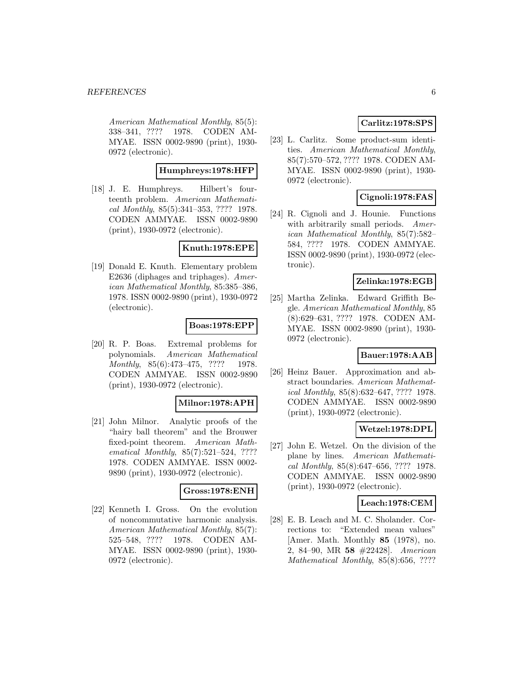American Mathematical Monthly, 85(5): 338–341, ???? 1978. CODEN AM-MYAE. ISSN 0002-9890 (print), 1930- 0972 (electronic).

# **Humphreys:1978:HFP**

[18] J. E. Humphreys. Hilbert's fourteenth problem. American Mathematical Monthly, 85(5):341–353, ???? 1978. CODEN AMMYAE. ISSN 0002-9890 (print), 1930-0972 (electronic).

# **Knuth:1978:EPE**

[19] Donald E. Knuth. Elementary problem E2636 (diphages and triphages). American Mathematical Monthly, 85:385–386, 1978. ISSN 0002-9890 (print), 1930-0972 (electronic).

# **Boas:1978:EPP**

[20] R. P. Boas. Extremal problems for polynomials. American Mathematical Monthly, 85(6):473-475, ???? 1978. CODEN AMMYAE. ISSN 0002-9890 (print), 1930-0972 (electronic).

#### **Milnor:1978:APH**

[21] John Milnor. Analytic proofs of the "hairy ball theorem" and the Brouwer fixed-point theorem. American Mathematical Monthly, 85(7):521-524, ???? 1978. CODEN AMMYAE. ISSN 0002- 9890 (print), 1930-0972 (electronic).

# **Gross:1978:ENH**

[22] Kenneth I. Gross. On the evolution of noncommutative harmonic analysis. American Mathematical Monthly, 85(7): 525–548, ???? 1978. CODEN AM-MYAE. ISSN 0002-9890 (print), 1930- 0972 (electronic).

# **Carlitz:1978:SPS**

[23] L. Carlitz. Some product-sum identities. American Mathematical Monthly, 85(7):570–572, ???? 1978. CODEN AM-MYAE. ISSN 0002-9890 (print), 1930- 0972 (electronic).

# **Cignoli:1978:FAS**

[24] R. Cignoli and J. Hounie. Functions with arbitrarily small periods. American Mathematical Monthly, 85(7):582– 584, ???? 1978. CODEN AMMYAE. ISSN 0002-9890 (print), 1930-0972 (electronic).

# **Zelinka:1978:EGB**

[25] Martha Zelinka. Edward Griffith Begle. American Mathematical Monthly, 85 (8):629–631, ???? 1978. CODEN AM-MYAE. ISSN 0002-9890 (print), 1930- 0972 (electronic).

# **Bauer:1978:AAB**

[26] Heinz Bauer. Approximation and abstract boundaries. American Mathematical Monthly, 85(8):632–647, ???? 1978. CODEN AMMYAE. ISSN 0002-9890 (print), 1930-0972 (electronic).

# **Wetzel:1978:DPL**

[27] John E. Wetzel. On the division of the plane by lines. American Mathematical Monthly, 85(8):647–656, ???? 1978. CODEN AMMYAE. ISSN 0002-9890 (print), 1930-0972 (electronic).

#### **Leach:1978:CEM**

[28] E. B. Leach and M. C. Sholander. Corrections to: "Extended mean values" [Amer. Math. Monthly **85** (1978), no. 2, 84–90, MR **58** #22428]. American Mathematical Monthly, 85(8):656, ????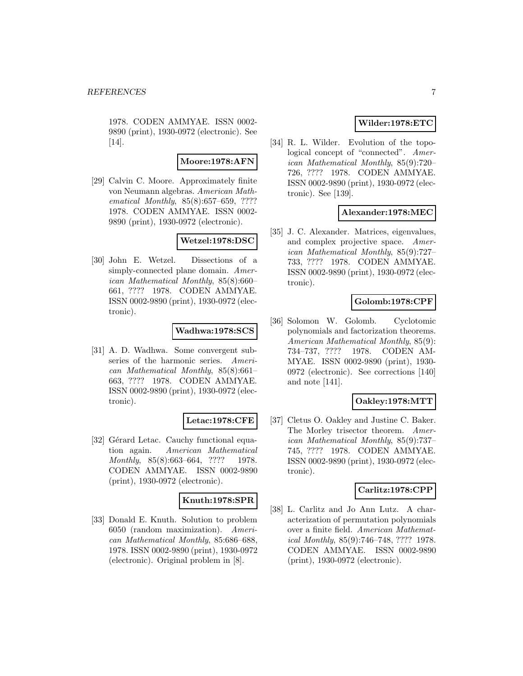1978. CODEN AMMYAE. ISSN 0002- 9890 (print), 1930-0972 (electronic). See [14].

### **Moore:1978:AFN**

[29] Calvin C. Moore. Approximately finite von Neumann algebras. American Mathematical Monthly, 85(8):657–659, ???? 1978. CODEN AMMYAE. ISSN 0002- 9890 (print), 1930-0972 (electronic).

### **Wetzel:1978:DSC**

[30] John E. Wetzel. Dissections of a simply-connected plane domain. American Mathematical Monthly, 85(8):660– 661, ???? 1978. CODEN AMMYAE. ISSN 0002-9890 (print), 1930-0972 (electronic).

# **Wadhwa:1978:SCS**

[31] A. D. Wadhwa. Some convergent subseries of the harmonic series. American Mathematical Monthly, 85(8):661– 663, ???? 1978. CODEN AMMYAE. ISSN 0002-9890 (print), 1930-0972 (electronic).

#### **Letac:1978:CFE**

[32] Gérard Letac. Cauchy functional equation again. American Mathematical Monthly, 85(8):663-664, ???? 1978. CODEN AMMYAE. ISSN 0002-9890 (print), 1930-0972 (electronic).

#### **Knuth:1978:SPR**

[33] Donald E. Knuth. Solution to problem 6050 (random maximization). American Mathematical Monthly, 85:686–688, 1978. ISSN 0002-9890 (print), 1930-0972 (electronic). Original problem in [8].

# **Wilder:1978:ETC**

[34] R. L. Wilder. Evolution of the topological concept of "connected". American Mathematical Monthly, 85(9):720– 726, ???? 1978. CODEN AMMYAE. ISSN 0002-9890 (print), 1930-0972 (electronic). See [139].

### **Alexander:1978:MEC**

[35] J. C. Alexander. Matrices, eigenvalues, and complex projective space. American Mathematical Monthly, 85(9):727– 733, ???? 1978. CODEN AMMYAE. ISSN 0002-9890 (print), 1930-0972 (electronic).

### **Golomb:1978:CPF**

[36] Solomon W. Golomb. Cyclotomic polynomials and factorization theorems. American Mathematical Monthly, 85(9): 734–737, ???? 1978. CODEN AM-MYAE. ISSN 0002-9890 (print), 1930- 0972 (electronic). See corrections [140] and note [141].

#### **Oakley:1978:MTT**

[37] Cletus O. Oakley and Justine C. Baker. The Morley trisector theorem. American Mathematical Monthly, 85(9):737– 745, ???? 1978. CODEN AMMYAE. ISSN 0002-9890 (print), 1930-0972 (electronic).

### **Carlitz:1978:CPP**

[38] L. Carlitz and Jo Ann Lutz. A characterization of permutation polynomials over a finite field. American Mathematical Monthly, 85(9):746–748, ???? 1978. CODEN AMMYAE. ISSN 0002-9890 (print), 1930-0972 (electronic).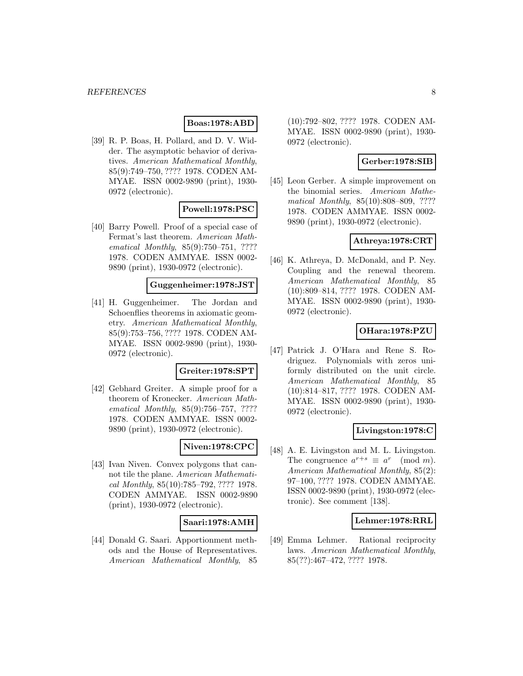#### **Boas:1978:ABD**

[39] R. P. Boas, H. Pollard, and D. V. Widder. The asymptotic behavior of derivatives. American Mathematical Monthly, 85(9):749–750, ???? 1978. CODEN AM-MYAE. ISSN 0002-9890 (print), 1930- 0972 (electronic).

### **Powell:1978:PSC**

[40] Barry Powell. Proof of a special case of Fermat's last theorem. American Mathematical Monthly, 85(9):750–751, ???? 1978. CODEN AMMYAE. ISSN 0002- 9890 (print), 1930-0972 (electronic).

#### **Guggenheimer:1978:JST**

[41] H. Guggenheimer. The Jordan and Schoenflies theorems in axiomatic geometry. American Mathematical Monthly, 85(9):753–756, ???? 1978. CODEN AM-MYAE. ISSN 0002-9890 (print), 1930- 0972 (electronic).

#### **Greiter:1978:SPT**

[42] Gebhard Greiter. A simple proof for a theorem of Kronecker. American Mathematical Monthly, 85(9):756–757, ???? 1978. CODEN AMMYAE. ISSN 0002- 9890 (print), 1930-0972 (electronic).

# **Niven:1978:CPC**

[43] Ivan Niven. Convex polygons that cannot tile the plane. American Mathematical Monthly, 85(10):785–792, ???? 1978. CODEN AMMYAE. ISSN 0002-9890 (print), 1930-0972 (electronic).

#### **Saari:1978:AMH**

[44] Donald G. Saari. Apportionment methods and the House of Representatives. American Mathematical Monthly, 85 (10):792–802, ???? 1978. CODEN AM-MYAE. ISSN 0002-9890 (print), 1930- 0972 (electronic).

#### **Gerber:1978:SIB**

[45] Leon Gerber. A simple improvement on the binomial series. American Mathematical Monthly, 85(10):808–809, ???? 1978. CODEN AMMYAE. ISSN 0002- 9890 (print), 1930-0972 (electronic).

# **Athreya:1978:CRT**

[46] K. Athreya, D. McDonald, and P. Ney. Coupling and the renewal theorem. American Mathematical Monthly, 85 (10):809–814, ???? 1978. CODEN AM-MYAE. ISSN 0002-9890 (print), 1930- 0972 (electronic).

### **OHara:1978:PZU**

[47] Patrick J. O'Hara and Rene S. Rodriguez. Polynomials with zeros uniformly distributed on the unit circle. American Mathematical Monthly, 85 (10):814–817, ???? 1978. CODEN AM-MYAE. ISSN 0002-9890 (print), 1930- 0972 (electronic).

# **Livingston:1978:C**

[48] A. E. Livingston and M. L. Livingston. The congruence  $a^{r+s} \equiv a^r \pmod{m}$ . American Mathematical Monthly, 85(2): 97–100, ???? 1978. CODEN AMMYAE. ISSN 0002-9890 (print), 1930-0972 (electronic). See comment [138].

# **Lehmer:1978:RRL**

[49] Emma Lehmer. Rational reciprocity laws. American Mathematical Monthly, 85(??):467–472, ???? 1978.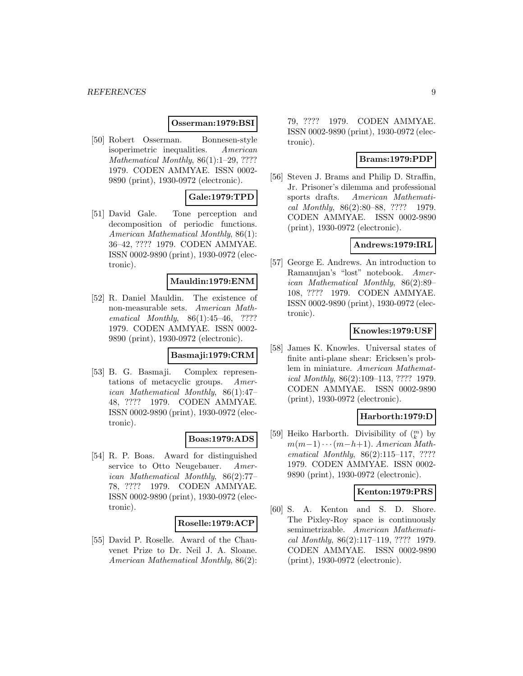#### **Osserman:1979:BSI**

[50] Robert Osserman. Bonnesen-style isoperimetric inequalities. American Mathematical Monthly, 86(1):1-29, ???? 1979. CODEN AMMYAE. ISSN 0002- 9890 (print), 1930-0972 (electronic).

# **Gale:1979:TPD**

[51] David Gale. Tone perception and decomposition of periodic functions. American Mathematical Monthly, 86(1): 36–42, ???? 1979. CODEN AMMYAE. ISSN 0002-9890 (print), 1930-0972 (electronic).

### **Mauldin:1979:ENM**

[52] R. Daniel Mauldin. The existence of non-measurable sets. American Mathematical Monthly, 86(1):45–46, ???? 1979. CODEN AMMYAE. ISSN 0002- 9890 (print), 1930-0972 (electronic).

#### **Basmaji:1979:CRM**

[53] B. G. Basmaji. Complex representations of metacyclic groups. American Mathematical Monthly, 86(1):47– 48, ???? 1979. CODEN AMMYAE. ISSN 0002-9890 (print), 1930-0972 (electronic).

# **Boas:1979:ADS**

[54] R. P. Boas. Award for distinguished service to Otto Neugebauer. American Mathematical Monthly, 86(2):77– 78, ???? 1979. CODEN AMMYAE. ISSN 0002-9890 (print), 1930-0972 (electronic).

#### **Roselle:1979:ACP**

[55] David P. Roselle. Award of the Chauvenet Prize to Dr. Neil J. A. Sloane. American Mathematical Monthly, 86(2):

79, ???? 1979. CODEN AMMYAE. ISSN 0002-9890 (print), 1930-0972 (electronic).

### **Brams:1979:PDP**

[56] Steven J. Brams and Philip D. Straffin, Jr. Prisoner's dilemma and professional sports drafts. American Mathematical Monthly, 86(2):80–88, ???? 1979. CODEN AMMYAE. ISSN 0002-9890 (print), 1930-0972 (electronic).

### **Andrews:1979:IRL**

[57] George E. Andrews. An introduction to Ramanujan's "lost" notebook. American Mathematical Monthly, 86(2):89– 108, ???? 1979. CODEN AMMYAE. ISSN 0002-9890 (print), 1930-0972 (electronic).

# **Knowles:1979:USF**

[58] James K. Knowles. Universal states of finite anti-plane shear: Ericksen's problem in miniature. American Mathematical Monthly, 86(2):109–113, ???? 1979. CODEN AMMYAE. ISSN 0002-9890 (print), 1930-0972 (electronic).

#### **Harborth:1979:D**

[59] Heiko Harborth. Divisibility of  $\binom{m}{k}$  by  $m(m-1)\cdots(m-h+1)$ . American Mathematical Monthly, 86(2):115-117, ???? 1979. CODEN AMMYAE. ISSN 0002- 9890 (print), 1930-0972 (electronic).

### **Kenton:1979:PRS**

[60] S. A. Kenton and S. D. Shore. The Pixley-Roy space is continuously semimetrizable. American Mathematical Monthly, 86(2):117–119, ???? 1979. CODEN AMMYAE. ISSN 0002-9890 (print), 1930-0972 (electronic).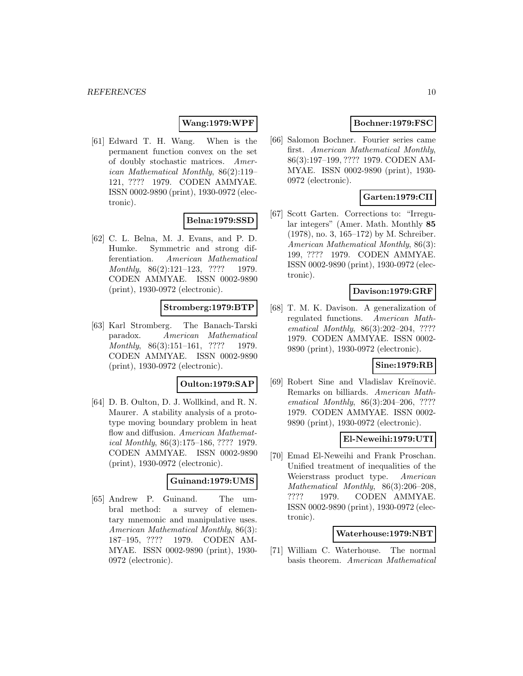# **Wang:1979:WPF**

[61] Edward T. H. Wang. When is the permanent function convex on the set of doubly stochastic matrices. American Mathematical Monthly, 86(2):119– 121, ???? 1979. CODEN AMMYAE. ISSN 0002-9890 (print), 1930-0972 (electronic).

# **Belna:1979:SSD**

[62] C. L. Belna, M. J. Evans, and P. D. Humke. Symmetric and strong differentiation. American Mathematical Monthly, 86(2):121-123, ???? 1979. CODEN AMMYAE. ISSN 0002-9890 (print), 1930-0972 (electronic).

### **Stromberg:1979:BTP**

[63] Karl Stromberg. The Banach-Tarski paradox. American Mathematical Monthly, 86(3):151-161, ???? 1979. CODEN AMMYAE. ISSN 0002-9890 (print), 1930-0972 (electronic).

#### **Oulton:1979:SAP**

[64] D. B. Oulton, D. J. Wollkind, and R. N. Maurer. A stability analysis of a prototype moving boundary problem in heat flow and diffusion. American Mathematical Monthly, 86(3):175–186, ???? 1979. CODEN AMMYAE. ISSN 0002-9890 (print), 1930-0972 (electronic).

#### **Guinand:1979:UMS**

[65] Andrew P. Guinand. The umbral method: a survey of elementary mnemonic and manipulative uses. American Mathematical Monthly, 86(3): 187–195, ???? 1979. CODEN AM-MYAE. ISSN 0002-9890 (print), 1930- 0972 (electronic).

# **Bochner:1979:FSC**

[66] Salomon Bochner. Fourier series came first. American Mathematical Monthly, 86(3):197–199, ???? 1979. CODEN AM-MYAE. ISSN 0002-9890 (print), 1930- 0972 (electronic).

# **Garten:1979:CII**

[67] Scott Garten. Corrections to: "Irregular integers" (Amer. Math. Monthly **85** (1978), no. 3, 165–172) by M. Schreiber. American Mathematical Monthly, 86(3): 199, ???? 1979. CODEN AMMYAE. ISSN 0002-9890 (print), 1930-0972 (electronic).

### **Davison:1979:GRF**

[68] T. M. K. Davison. A generalization of regulated functions. American Mathematical Monthly, 86(3):202–204, ???? 1979. CODEN AMMYAE. ISSN 0002- 9890 (print), 1930-0972 (electronic).

# **Sine:1979:RB**

[69] Robert Sine and Vladislav Kreĭnovič. Remarks on billiards. American Mathematical Monthly, 86(3):204–206, ???? 1979. CODEN AMMYAE. ISSN 0002- 9890 (print), 1930-0972 (electronic).

#### **El-Neweihi:1979:UTI**

[70] Emad El-Neweihi and Frank Proschan. Unified treatment of inequalities of the Weierstrass product type. American Mathematical Monthly, 86(3):206–208, ???? 1979. CODEN AMMYAE. ISSN 0002-9890 (print), 1930-0972 (electronic).

#### **Waterhouse:1979:NBT**

[71] William C. Waterhouse. The normal basis theorem. American Mathematical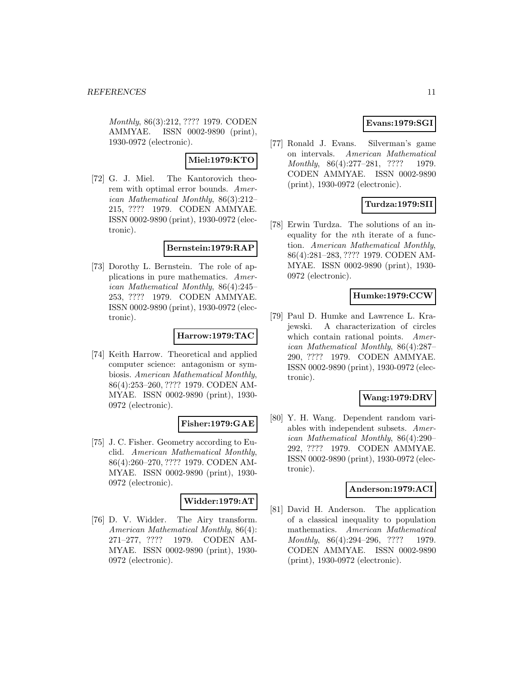Monthly, 86(3):212, ???? 1979. CODEN AMMYAE. ISSN 0002-9890 (print), 1930-0972 (electronic).

# **Miel:1979:KTO**

[72] G. J. Miel. The Kantorovich theorem with optimal error bounds. American Mathematical Monthly, 86(3):212– 215, ???? 1979. CODEN AMMYAE. ISSN 0002-9890 (print), 1930-0972 (electronic).

# **Bernstein:1979:RAP**

[73] Dorothy L. Bernstein. The role of applications in pure mathematics. American Mathematical Monthly, 86(4):245– 253, ???? 1979. CODEN AMMYAE. ISSN 0002-9890 (print), 1930-0972 (electronic).

# **Harrow:1979:TAC**

[74] Keith Harrow. Theoretical and applied computer science: antagonism or symbiosis. American Mathematical Monthly, 86(4):253–260, ???? 1979. CODEN AM-MYAE. ISSN 0002-9890 (print), 1930- 0972 (electronic).

#### **Fisher:1979:GAE**

[75] J. C. Fisher. Geometry according to Euclid. American Mathematical Monthly, 86(4):260–270, ???? 1979. CODEN AM-MYAE. ISSN 0002-9890 (print), 1930- 0972 (electronic).

#### **Widder:1979:AT**

[76] D. V. Widder. The Airy transform. American Mathematical Monthly, 86(4): 271–277, ???? 1979. CODEN AM-MYAE. ISSN 0002-9890 (print), 1930- 0972 (electronic).

# **Evans:1979:SGI**

[77] Ronald J. Evans. Silverman's game on intervals. American Mathematical Monthly, 86(4):277-281, ???? 1979. CODEN AMMYAE. ISSN 0002-9890 (print), 1930-0972 (electronic).

# **Turdza:1979:SII**

[78] Erwin Turdza. The solutions of an inequality for the nth iterate of a function. American Mathematical Monthly, 86(4):281–283, ???? 1979. CODEN AM-MYAE. ISSN 0002-9890 (print), 1930- 0972 (electronic).

# **Humke:1979:CCW**

[79] Paul D. Humke and Lawrence L. Krajewski. A characterization of circles which contain rational points. American Mathematical Monthly, 86(4):287– 290, ???? 1979. CODEN AMMYAE. ISSN 0002-9890 (print), 1930-0972 (electronic).

# **Wang:1979:DRV**

[80] Y. H. Wang. Dependent random variables with independent subsets. American Mathematical Monthly, 86(4):290– 292, ???? 1979. CODEN AMMYAE. ISSN 0002-9890 (print), 1930-0972 (electronic).

#### **Anderson:1979:ACI**

[81] David H. Anderson. The application of a classical inequality to population mathematics. American Mathematical Monthly, 86(4):294-296, ???? 1979. CODEN AMMYAE. ISSN 0002-9890 (print), 1930-0972 (electronic).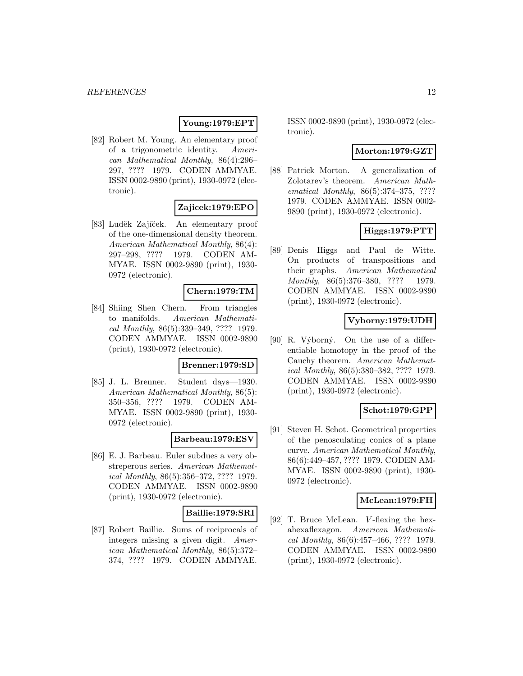# **Young:1979:EPT**

[82] Robert M. Young. An elementary proof of a trigonometric identity. American Mathematical Monthly, 86(4):296– 297, ???? 1979. CODEN AMMYAE. ISSN 0002-9890 (print), 1930-0972 (electronic).

# **Zajicek:1979:EPO**

[83] Luděk Zajíček. An elementary proof of the one-dimensional density theorem. American Mathematical Monthly, 86(4): 297–298, ???? 1979. CODEN AM-MYAE. ISSN 0002-9890 (print), 1930- 0972 (electronic).

#### **Chern:1979:TM**

[84] Shiing Shen Chern. From triangles to manifolds. American Mathematical Monthly, 86(5):339–349, ???? 1979. CODEN AMMYAE. ISSN 0002-9890 (print), 1930-0972 (electronic).

#### **Brenner:1979:SD**

[85] J. L. Brenner. Student days—1930. American Mathematical Monthly, 86(5): 350–356, ???? 1979. CODEN AM-MYAE. ISSN 0002-9890 (print), 1930- 0972 (electronic).

#### **Barbeau:1979:ESV**

[86] E. J. Barbeau. Euler subdues a very obstreperous series. American Mathematical Monthly, 86(5):356–372, ???? 1979. CODEN AMMYAE. ISSN 0002-9890 (print), 1930-0972 (electronic).

#### **Baillie:1979:SRI**

[87] Robert Baillie. Sums of reciprocals of integers missing a given digit. American Mathematical Monthly, 86(5):372– 374, ???? 1979. CODEN AMMYAE.

ISSN 0002-9890 (print), 1930-0972 (electronic).

### **Morton:1979:GZT**

[88] Patrick Morton. A generalization of Zolotarev's theorem. American Mathematical Monthly, 86(5):374–375, ???? 1979. CODEN AMMYAE. ISSN 0002- 9890 (print), 1930-0972 (electronic).

### **Higgs:1979:PTT**

[89] Denis Higgs and Paul de Witte. On products of transpositions and their graphs. American Mathematical Monthly, 86(5):376-380, ???? 1979. CODEN AMMYAE. ISSN 0002-9890 (print), 1930-0972 (electronic).

# **Vyborny:1979:UDH**

[90] R. Výborný. On the use of a differentiable homotopy in the proof of the Cauchy theorem. American Mathematical Monthly, 86(5):380–382, ???? 1979. CODEN AMMYAE. ISSN 0002-9890 (print), 1930-0972 (electronic).

# **Schot:1979:GPP**

[91] Steven H. Schot. Geometrical properties of the penosculating conics of a plane curve. American Mathematical Monthly, 86(6):449–457, ???? 1979. CODEN AM-MYAE. ISSN 0002-9890 (print), 1930- 0972 (electronic).

#### **McLean:1979:FH**

[92] T. Bruce McLean. V-flexing the hexahexaflexagon. American Mathematical Monthly, 86(6):457–466, ???? 1979. CODEN AMMYAE. ISSN 0002-9890 (print), 1930-0972 (electronic).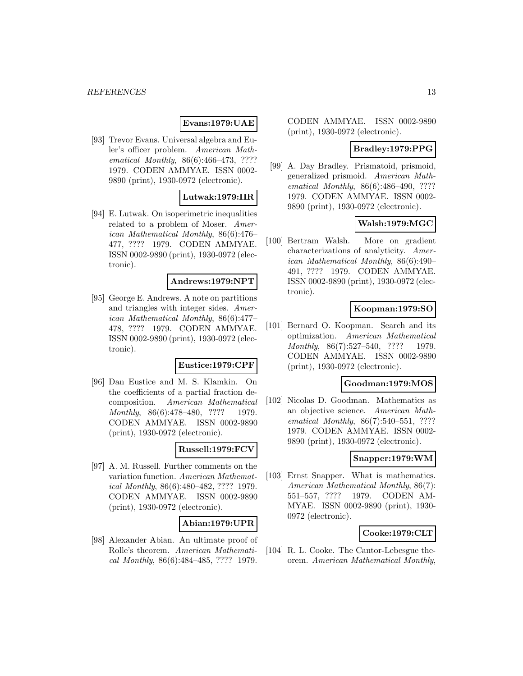# **Evans:1979:UAE**

[93] Trevor Evans. Universal algebra and Euler's officer problem. American Mathematical Monthly, 86(6):466–473, ???? 1979. CODEN AMMYAE. ISSN 0002- 9890 (print), 1930-0972 (electronic).

# **Lutwak:1979:IIR**

[94] E. Lutwak. On isoperimetric inequalities related to a problem of Moser. American Mathematical Monthly, 86(6):476– 477, ???? 1979. CODEN AMMYAE. ISSN 0002-9890 (print), 1930-0972 (electronic).

### **Andrews:1979:NPT**

[95] George E. Andrews. A note on partitions and triangles with integer sides. American Mathematical Monthly, 86(6):477– 478, ???? 1979. CODEN AMMYAE. ISSN 0002-9890 (print), 1930-0972 (electronic).

#### **Eustice:1979:CPF**

[96] Dan Eustice and M. S. Klamkin. On the coefficients of a partial fraction decomposition. American Mathematical Monthly, 86(6):478-480, ???? 1979. CODEN AMMYAE. ISSN 0002-9890 (print), 1930-0972 (electronic).

# **Russell:1979:FCV**

[97] A. M. Russell. Further comments on the variation function. American Mathematical Monthly, 86(6):480–482, ???? 1979. CODEN AMMYAE. ISSN 0002-9890 (print), 1930-0972 (electronic).

# **Abian:1979:UPR**

[98] Alexander Abian. An ultimate proof of Rolle's theorem. American Mathematical Monthly, 86(6):484–485, ???? 1979.

CODEN AMMYAE. ISSN 0002-9890 (print), 1930-0972 (electronic).

# **Bradley:1979:PPG**

[99] A. Day Bradley. Prismatoid, prismoid, generalized prismoid. American Mathematical Monthly, 86(6):486-490, ???? 1979. CODEN AMMYAE. ISSN 0002- 9890 (print), 1930-0972 (electronic).

# **Walsh:1979:MGC**

[100] Bertram Walsh. More on gradient characterizations of analyticity. American Mathematical Monthly, 86(6):490– 491, ???? 1979. CODEN AMMYAE. ISSN 0002-9890 (print), 1930-0972 (electronic).

# **Koopman:1979:SO**

[101] Bernard O. Koopman. Search and its optimization. American Mathematical Monthly, 86(7):527-540, ???? 1979. CODEN AMMYAE. ISSN 0002-9890 (print), 1930-0972 (electronic).

### **Goodman:1979:MOS**

[102] Nicolas D. Goodman. Mathematics as an objective science. American Mathematical Monthly, 86(7):540–551, ???? 1979. CODEN AMMYAE. ISSN 0002- 9890 (print), 1930-0972 (electronic).

# **Snapper:1979:WM**

[103] Ernst Snapper. What is mathematics. American Mathematical Monthly, 86(7): 551–557, ???? 1979. CODEN AM-MYAE. ISSN 0002-9890 (print), 1930- 0972 (electronic).

# **Cooke:1979:CLT**

[104] R. L. Cooke. The Cantor-Lebesgue theorem. American Mathematical Monthly,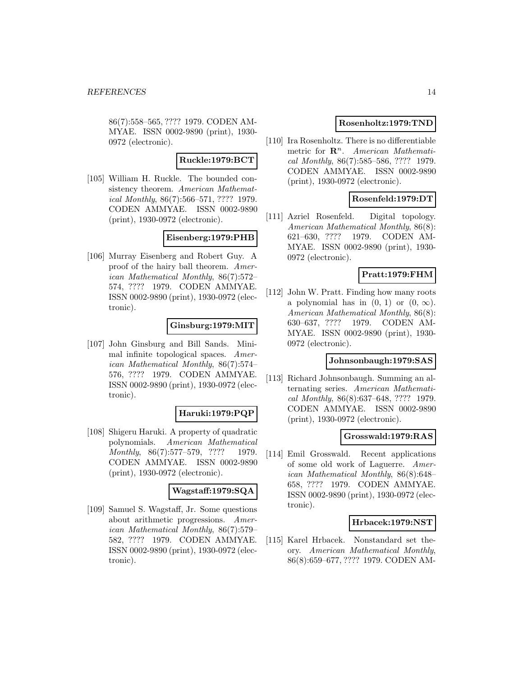86(7):558–565, ???? 1979. CODEN AM-MYAE. ISSN 0002-9890 (print), 1930- 0972 (electronic).

#### **Ruckle:1979:BCT**

[105] William H. Ruckle. The bounded consistency theorem. American Mathematical Monthly, 86(7):566–571, ???? 1979. CODEN AMMYAE. ISSN 0002-9890 (print), 1930-0972 (electronic).

#### **Eisenberg:1979:PHB**

[106] Murray Eisenberg and Robert Guy. A proof of the hairy ball theorem. American Mathematical Monthly, 86(7):572– 574, ???? 1979. CODEN AMMYAE. ISSN 0002-9890 (print), 1930-0972 (electronic).

### **Ginsburg:1979:MIT**

[107] John Ginsburg and Bill Sands. Minimal infinite topological spaces. American Mathematical Monthly, 86(7):574– 576, ???? 1979. CODEN AMMYAE. ISSN 0002-9890 (print), 1930-0972 (electronic).

#### **Haruki:1979:PQP**

[108] Shigeru Haruki. A property of quadratic polynomials. American Mathematical Monthly, 86(7):577–579, ???? 1979. CODEN AMMYAE. ISSN 0002-9890 (print), 1930-0972 (electronic).

#### **Wagstaff:1979:SQA**

[109] Samuel S. Wagstaff, Jr. Some questions about arithmetic progressions. American Mathematical Monthly, 86(7):579– 582, ???? 1979. CODEN AMMYAE. ISSN 0002-9890 (print), 1930-0972 (electronic).

#### **Rosenholtz:1979:TND**

[110] Ira Rosenholtz. There is no differentiable metric for  $\mathbb{R}^n$ . American Mathematical Monthly, 86(7):585–586, ???? 1979. CODEN AMMYAE. ISSN 0002-9890 (print), 1930-0972 (electronic).

### **Rosenfeld:1979:DT**

[111] Azriel Rosenfeld. Digital topology. American Mathematical Monthly, 86(8): 621–630, ???? 1979. CODEN AM-MYAE. ISSN 0002-9890 (print), 1930- 0972 (electronic).

#### **Pratt:1979:FHM**

[112] John W. Pratt. Finding how many roots a polynomial has in  $(0, 1)$  or  $(0, \infty)$ . American Mathematical Monthly, 86(8): 630–637, ???? 1979. CODEN AM-MYAE. ISSN 0002-9890 (print), 1930- 0972 (electronic).

#### **Johnsonbaugh:1979:SAS**

[113] Richard Johnsonbaugh. Summing an alternating series. American Mathematical Monthly, 86(8):637–648, ???? 1979. CODEN AMMYAE. ISSN 0002-9890 (print), 1930-0972 (electronic).

#### **Grosswald:1979:RAS**

[114] Emil Grosswald. Recent applications of some old work of Laguerre. American Mathematical Monthly, 86(8):648– 658, ???? 1979. CODEN AMMYAE. ISSN 0002-9890 (print), 1930-0972 (electronic).

#### **Hrbacek:1979:NST**

[115] Karel Hrbacek. Nonstandard set theory. American Mathematical Monthly, 86(8):659–677, ???? 1979. CODEN AM-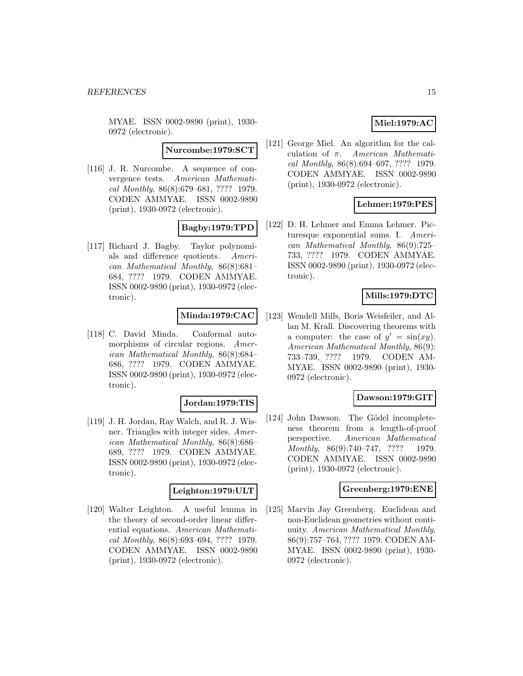MYAE. ISSN 0002-9890 (print), 1930- 0972 (electronic).

**Nurcombe:1979:SCT**

[116] J. R. Nurcombe. A sequence of convergence tests. American Mathematical Monthly, 86(8):679–681, ???? 1979. CODEN AMMYAE. ISSN 0002-9890 (print), 1930-0972 (electronic).

# **Bagby:1979:TPD**

[117] Richard J. Bagby. Taylor polynomials and difference quotients. American Mathematical Monthly, 86(8):681– 684, ???? 1979. CODEN AMMYAE. ISSN 0002-9890 (print), 1930-0972 (electronic).

# **Minda:1979:CAC**

[118] C. David Minda. Conformal automorphisms of circular regions. American Mathematical Monthly, 86(8):684– 686, ???? 1979. CODEN AMMYAE. ISSN 0002-9890 (print), 1930-0972 (electronic).

#### **Jordan:1979:TIS**

[119] J. H. Jordan, Ray Walch, and R. J. Wisner. Triangles with integer sides. American Mathematical Monthly, 86(8):686– 689, ???? 1979. CODEN AMMYAE. ISSN 0002-9890 (print), 1930-0972 (electronic).

#### **Leighton:1979:ULT**

[120] Walter Leighton. A useful lemma in the theory of second-order linear differential equations. American Mathematical Monthly, 86(8):693–694, ???? 1979. CODEN AMMYAE. ISSN 0002-9890 (print), 1930-0972 (electronic).

# **Miel:1979:AC**

[121] George Miel. An algorithm for the calculation of π. American Mathematical Monthly, 86(8):694–697, ???? 1979. CODEN AMMYAE. ISSN 0002-9890 (print), 1930-0972 (electronic).

# **Lehmer:1979:PES**

[122] D. H. Lehmer and Emma Lehmer. Picturesque exponential sums. I. American Mathematical Monthly, 86(9):725– 733, ???? 1979. CODEN AMMYAE. ISSN 0002-9890 (print), 1930-0972 (electronic).

# **Mills:1979:DTC**

[123] Wendell Mills, Boris Weisfeiler, and Allan M. Krall. Discovering theorems with a computer: the case of  $y' = \sin(xy)$ . American Mathematical Monthly, 86(9): 733–739, ???? 1979. CODEN AM-MYAE. ISSN 0002-9890 (print), 1930- 0972 (electronic).

# **Dawson:1979:GIT**

[124] John Dawson. The Gödel incompleteness theorem from a length-of-proof perspective. American Mathematical Monthly, 86(9):740–747, ???? 1979. CODEN AMMYAE. ISSN 0002-9890 (print), 1930-0972 (electronic).

#### **Greenberg:1979:ENE**

[125] Marvin Jay Greenberg. Euclidean and non-Euclidean geometries without continuity. American Mathematical Monthly, 86(9):757–764, ???? 1979. CODEN AM-MYAE. ISSN 0002-9890 (print), 1930- 0972 (electronic).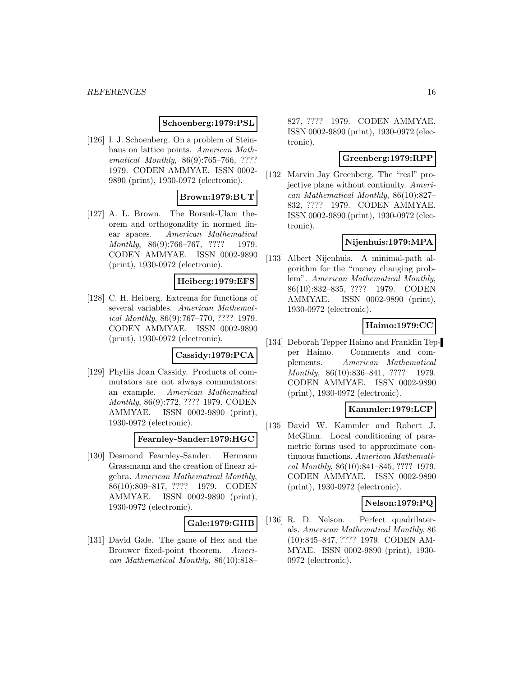# **Schoenberg:1979:PSL**

[126] I. J. Schoenberg. On a problem of Steinhaus on lattice points. American Mathematical Monthly, 86(9):765–766, ???? 1979. CODEN AMMYAE. ISSN 0002- 9890 (print), 1930-0972 (electronic).

# **Brown:1979:BUT**

[127] A. L. Brown. The Borsuk-Ulam theorem and orthogonality in normed linear spaces. American Mathematical Monthly, 86(9):766-767, ???? 1979. CODEN AMMYAE. ISSN 0002-9890 (print), 1930-0972 (electronic).

### **Heiberg:1979:EFS**

[128] C. H. Heiberg. Extrema for functions of several variables. American Mathematical Monthly, 86(9):767–770, ???? 1979. CODEN AMMYAE. ISSN 0002-9890 (print), 1930-0972 (electronic).

#### **Cassidy:1979:PCA**

[129] Phyllis Joan Cassidy. Products of commutators are not always commutators: an example. American Mathematical Monthly, 86(9):772, ???? 1979. CODEN AMMYAE. ISSN 0002-9890 (print), 1930-0972 (electronic).

**Fearnley-Sander:1979:HGC**

[130] Desmond Fearnley-Sander. Hermann Grassmann and the creation of linear algebra. American Mathematical Monthly, 86(10):809–817, ???? 1979. CODEN AMMYAE. ISSN 0002-9890 (print), 1930-0972 (electronic).

#### **Gale:1979:GHB**

[131] David Gale. The game of Hex and the Brouwer fixed-point theorem. American Mathematical Monthly, 86(10):818–

827, ???? 1979. CODEN AMMYAE. ISSN 0002-9890 (print), 1930-0972 (electronic).

#### **Greenberg:1979:RPP**

[132] Marvin Jay Greenberg. The "real" projective plane without continuity. American Mathematical Monthly, 86(10):827– 832, ???? 1979. CODEN AMMYAE. ISSN 0002-9890 (print), 1930-0972 (electronic).

### **Nijenhuis:1979:MPA**

[133] Albert Nijenhuis. A minimal-path algorithm for the "money changing problem". American Mathematical Monthly, 86(10):832–835, ???? 1979. CODEN AMMYAE. ISSN 0002-9890 (print), 1930-0972 (electronic).

# **Haimo:1979:CC**

[134] Deborah Tepper Haimo and Franklin Tepper Haimo. Comments and complements. American Mathematical Monthly, 86(10):836-841, ???? 1979. CODEN AMMYAE. ISSN 0002-9890 (print), 1930-0972 (electronic).

# **Kammler:1979:LCP**

[135] David W. Kammler and Robert J. McGlinn. Local conditioning of parametric forms used to approximate continuous functions. American Mathematical Monthly, 86(10):841–845, ???? 1979. CODEN AMMYAE. ISSN 0002-9890 (print), 1930-0972 (electronic).

#### **Nelson:1979:PQ**

[136] R. D. Nelson. Perfect quadrilaterals. American Mathematical Monthly, 86 (10):845–847, ???? 1979. CODEN AM-MYAE. ISSN 0002-9890 (print), 1930- 0972 (electronic).